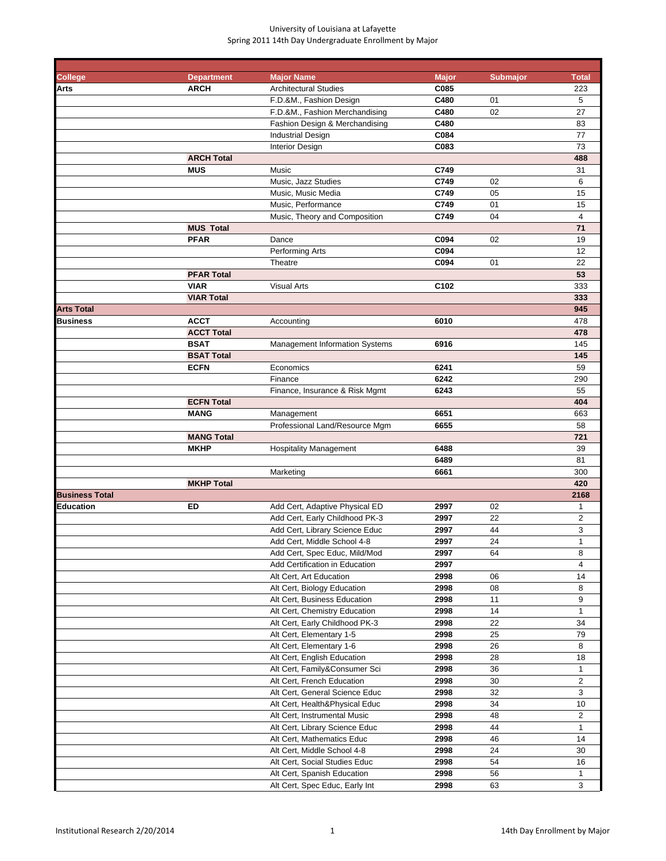| <b>College</b>                       | <b>Department</b> | <b>Major Name</b>                                            | <b>Major</b>     | <b>Submajor</b> | <b>Total</b>        |
|--------------------------------------|-------------------|--------------------------------------------------------------|------------------|-----------------|---------------------|
| <b>Arts</b>                          | <b>ARCH</b>       | <b>Architectural Studies</b>                                 | C085             |                 | 223                 |
|                                      |                   | F.D.&M., Fashion Design                                      | C480             | 01              | 5                   |
|                                      |                   | F.D.&M., Fashion Merchandising                               | C480             | 02              | 27                  |
|                                      |                   | Fashion Design & Merchandising                               | C480             |                 | 83                  |
|                                      |                   | <b>Industrial Design</b>                                     | C084             |                 | 77                  |
|                                      |                   | <b>Interior Design</b>                                       | C083             |                 | 73                  |
|                                      | <b>ARCH Total</b> |                                                              |                  |                 | 488                 |
|                                      | <b>MUS</b>        | Music                                                        | C749             |                 | 31                  |
|                                      |                   | Music, Jazz Studies                                          | C749             | 02              | 6                   |
|                                      |                   | Music, Music Media                                           | C749             | 05              | 15                  |
|                                      |                   | Music, Performance                                           | C749             | 01              | 15                  |
|                                      |                   | Music, Theory and Composition                                | C749             | 04              | $\overline{4}$      |
|                                      | <b>MUS Total</b>  |                                                              |                  |                 | 71                  |
|                                      | <b>PFAR</b>       | Dance                                                        | C094             | 02              | 19                  |
|                                      |                   | Performing Arts                                              | C094             |                 | 12                  |
|                                      |                   | Theatre                                                      | C094             | 01              | 22                  |
|                                      | <b>PFAR Total</b> |                                                              |                  |                 | 53                  |
|                                      | <b>VIAR</b>       | <b>Visual Arts</b>                                           | C <sub>102</sub> |                 | 333                 |
|                                      | <b>VIAR Total</b> |                                                              |                  |                 | 333                 |
| <b>Arts Total</b><br><b>Business</b> | <b>ACCT</b>       | Accounting                                                   |                  |                 | 945<br>478          |
|                                      | <b>ACCT Total</b> |                                                              | 6010             |                 | 478                 |
|                                      | <b>BSAT</b>       | <b>Management Information Systems</b>                        | 6916             |                 | 145                 |
|                                      | <b>BSAT Total</b> |                                                              |                  |                 | 145                 |
|                                      | <b>ECFN</b>       | Economics                                                    | 6241             |                 | 59                  |
|                                      |                   | Finance                                                      | 6242             |                 | 290                 |
|                                      |                   | Finance, Insurance & Risk Mgmt                               | 6243             |                 | 55                  |
|                                      | <b>ECFN Total</b> |                                                              |                  |                 | 404                 |
|                                      | <b>MANG</b>       | Management                                                   | 6651             |                 | 663                 |
|                                      |                   | Professional Land/Resource Mgm                               | 6655             |                 | 58                  |
|                                      | <b>MANG Total</b> |                                                              |                  |                 | 721                 |
|                                      | <b>MKHP</b>       | <b>Hospitality Management</b>                                | 6488             |                 | 39                  |
|                                      |                   |                                                              | 6489             |                 | 81                  |
|                                      |                   | Marketing                                                    | 6661             |                 | 300                 |
|                                      | <b>MKHP Total</b> |                                                              |                  |                 | 420                 |
| <b>Business Total</b>                |                   |                                                              |                  |                 | 2168                |
| Education                            | ED                | Add Cert, Adaptive Physical ED                               | 2997             | 02              | 1                   |
|                                      |                   | Add Cert, Early Childhood PK-3                               | 2997             | 22              | $\overline{2}$      |
|                                      |                   | Add Cert, Library Science Educ                               | 2997             | 44              | 3                   |
|                                      |                   | Add Cert, Middle School 4-8                                  | 2997             | 24              | $\mathbf{1}$        |
|                                      |                   | Add Cert, Spec Educ, Mild/Mod                                | 2997             | 64              | 8                   |
|                                      |                   | Add Certification in Education                               | 2997             |                 | $\overline{4}$      |
|                                      |                   | Alt Cert, Art Education                                      | 2998             | 06              | 14                  |
|                                      |                   | Alt Cert, Biology Education                                  | 2998             | 08              | 8                   |
|                                      |                   | Alt Cert, Business Education                                 | 2998             | 11              | 9                   |
|                                      |                   | Alt Cert, Chemistry Education                                | 2998             | 14              | $\mathbf{1}$        |
|                                      |                   | Alt Cert, Early Childhood PK-3                               | 2998             | 22              | 34                  |
|                                      |                   | Alt Cert, Elementary 1-5                                     | 2998             | 25              | 79                  |
|                                      |                   | Alt Cert, Elementary 1-6                                     | 2998             | 26              | 8                   |
|                                      |                   | Alt Cert, English Education                                  | 2998             | 28              | 18                  |
|                                      |                   | Alt Cert, Family&Consumer Sci                                | 2998<br>2998     | 36              | 1<br>$\overline{2}$ |
|                                      |                   | Alt Cert, French Education<br>Alt Cert, General Science Educ | 2998             | 30<br>32        | 3                   |
|                                      |                   | Alt Cert, Health&Physical Educ                               | 2998             | 34              | 10                  |
|                                      |                   | Alt Cert, Instrumental Music                                 | 2998             | 48              | $\overline{2}$      |
|                                      |                   | Alt Cert, Library Science Educ                               | 2998             | 44              | 1                   |
|                                      |                   | Alt Cert, Mathematics Educ                                   | 2998             | 46              | 14                  |
|                                      |                   | Alt Cert, Middle School 4-8                                  | 2998             | 24              | 30                  |
|                                      |                   | Alt Cert, Social Studies Educ                                | 2998             | 54              | 16                  |
|                                      |                   | Alt Cert, Spanish Education                                  | 2998             | 56              | $\mathbf{1}$        |
|                                      |                   | Alt Cert, Spec Educ, Early Int                               | 2998             | 63              | 3                   |
|                                      |                   |                                                              |                  |                 |                     |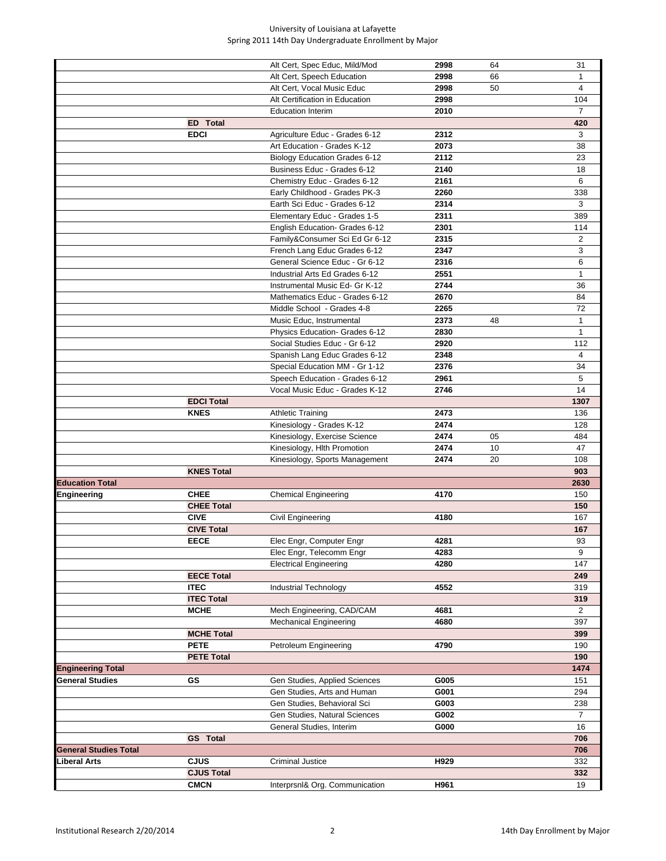|                              |                   | Alt Cert, Spec Educ, Mild/Mod        | 2998 | 64 | 31             |
|------------------------------|-------------------|--------------------------------------|------|----|----------------|
|                              |                   | Alt Cert, Speech Education           | 2998 | 66 | 1              |
|                              |                   | Alt Cert, Vocal Music Educ           | 2998 | 50 | $\overline{4}$ |
|                              |                   | Alt Certification in Education       | 2998 |    | 104            |
|                              |                   | <b>Education Interim</b>             | 2010 |    | $\overline{7}$ |
|                              | <b>ED</b> Total   |                                      |      |    | 420            |
|                              | <b>EDCI</b>       | Agriculture Educ - Grades 6-12       | 2312 |    | 3              |
|                              |                   | Art Education - Grades K-12          | 2073 |    | 38             |
|                              |                   | <b>Biology Education Grades 6-12</b> | 2112 |    | 23             |
|                              |                   | Business Educ - Grades 6-12          | 2140 |    | 18             |
|                              |                   | Chemistry Educ - Grades 6-12         | 2161 |    | 6              |
|                              |                   | Early Childhood - Grades PK-3        | 2260 |    | 338            |
|                              |                   | Earth Sci Educ - Grades 6-12         | 2314 |    | 3              |
|                              |                   |                                      | 2311 |    | 389            |
|                              |                   | Elementary Educ - Grades 1-5         |      |    |                |
|                              |                   | English Education- Grades 6-12       | 2301 |    | 114            |
|                              |                   | Family&Consumer Sci Ed Gr 6-12       | 2315 |    | 2              |
|                              |                   | French Lang Educ Grades 6-12         | 2347 |    | 3              |
|                              |                   | General Science Educ - Gr 6-12       | 2316 |    | 6              |
|                              |                   | Industrial Arts Ed Grades 6-12       | 2551 |    | $\mathbf{1}$   |
|                              |                   | Instrumental Music Ed- Gr K-12       | 2744 |    | 36             |
|                              |                   | Mathematics Educ - Grades 6-12       | 2670 |    | 84             |
|                              |                   | Middle School - Grades 4-8           | 2265 |    | 72             |
|                              |                   | Music Educ, Instrumental             | 2373 | 48 | $\mathbf{1}$   |
|                              |                   | Physics Education- Grades 6-12       | 2830 |    | $\mathbf{1}$   |
|                              |                   | Social Studies Educ - Gr 6-12        | 2920 |    | 112            |
|                              |                   | Spanish Lang Educ Grades 6-12        | 2348 |    | $\overline{4}$ |
|                              |                   | Special Education MM - Gr 1-12       | 2376 |    | 34             |
|                              |                   | Speech Education - Grades 6-12       | 2961 |    | 5              |
|                              |                   |                                      |      |    | 14             |
|                              |                   | Vocal Music Educ - Grades K-12       | 2746 |    |                |
|                              | <b>EDCI Total</b> |                                      |      |    | 1307           |
|                              | <b>KNES</b>       | <b>Athletic Training</b>             | 2473 |    | 136            |
|                              |                   | Kinesiology - Grades K-12            | 2474 |    | 128            |
|                              |                   | Kinesiology, Exercise Science        | 2474 | 05 | 484            |
|                              |                   | Kinesiology, Hlth Promotion          | 2474 | 10 | 47             |
|                              |                   | Kinesiology, Sports Management       | 2474 | 20 | 108            |
|                              | <b>KNES Total</b> |                                      |      |    | 903            |
| <b>Education Total</b>       |                   |                                      |      |    | 2630           |
| Engineering                  | <b>CHEE</b>       | <b>Chemical Engineering</b>          | 4170 |    | 150            |
|                              | <b>CHEE Total</b> |                                      |      |    | 150            |
|                              | <b>CIVE</b>       | Civil Engineering                    | 4180 |    | 167            |
|                              | <b>CIVE Total</b> |                                      |      |    | 167            |
|                              | EECE              | Elec Engr, Computer Engr             | 4281 |    | 93             |
|                              |                   | Elec Engr, Telecomm Engr             | 4283 |    | 9              |
|                              |                   | <b>Electrical Engineering</b>        | 4280 |    | 147            |
|                              | <b>EECE Total</b> |                                      |      |    | 249            |
|                              | <b>ITEC</b>       | Industrial Technology                | 4552 |    | 319            |
|                              | <b>ITEC Total</b> |                                      |      |    | 319            |
|                              | <b>MCHE</b>       | Mech Engineering, CAD/CAM            | 4681 |    | 2              |
|                              |                   |                                      | 4680 |    | 397            |
|                              |                   | <b>Mechanical Engineering</b>        |      |    |                |
|                              | <b>MCHE Total</b> |                                      |      |    | 399            |
|                              | <b>PETE</b>       | Petroleum Engineering                | 4790 |    | 190            |
|                              | <b>PETE Total</b> |                                      |      |    | 190            |
| <b>Engineering Total</b>     |                   |                                      |      |    | 1474           |
| <b>General Studies</b>       | GS                | Gen Studies, Applied Sciences        | G005 |    | 151            |
|                              |                   | Gen Studies, Arts and Human          | G001 |    | 294            |
|                              |                   | Gen Studies, Behavioral Sci          | G003 |    | 238            |
|                              |                   | Gen Studies, Natural Sciences        | G002 |    | 7              |
|                              |                   | General Studies, Interim             | G000 |    | 16             |
|                              | <b>GS</b> Total   |                                      |      |    | 706            |
| <b>General Studies Total</b> |                   |                                      |      |    | 706            |
| ∟iberal Arts                 | <b>CJUS</b>       | <b>Criminal Justice</b>              | H929 |    | 332            |
|                              | <b>CJUS Total</b> |                                      |      |    | 332            |
|                              | <b>CMCN</b>       | InterprsnI& Org. Communication       | H961 |    | 19             |
|                              |                   |                                      |      |    |                |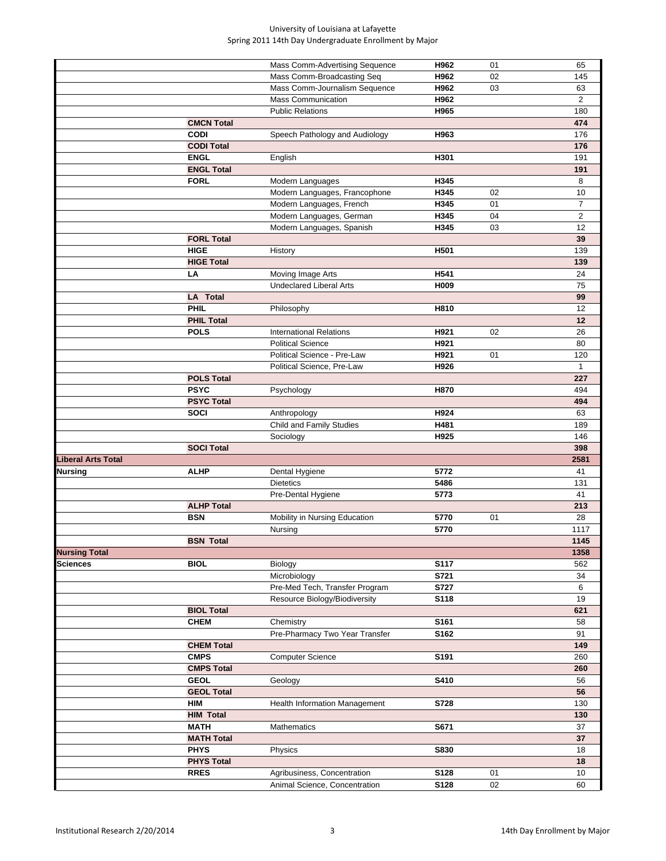|                      |                   | Mass Comm-Advertising Sequence                      | H962        | 01 | 65             |
|----------------------|-------------------|-----------------------------------------------------|-------------|----|----------------|
|                      |                   | Mass Comm-Broadcasting Seq                          | H962        | 02 | 145            |
|                      |                   | Mass Comm-Journalism Sequence                       | H962        | 03 | 63             |
|                      |                   |                                                     |             |    |                |
|                      |                   | <b>Mass Communication</b>                           | H962        |    | 2              |
|                      |                   | <b>Public Relations</b>                             | H965        |    | 180            |
|                      | <b>CMCN Total</b> |                                                     |             |    | 474            |
|                      | <b>CODI</b>       | Speech Pathology and Audiology                      | H963        |    | 176            |
|                      | <b>CODI Total</b> |                                                     |             |    | 176            |
|                      | <b>ENGL</b>       | English                                             | H301        |    | 191            |
|                      | <b>ENGL Total</b> |                                                     |             |    | 191            |
|                      | <b>FORL</b>       | Modern Languages                                    | H345        |    | 8              |
|                      |                   | Modern Languages, Francophone                       | H345        | 02 | 10             |
|                      |                   | Modern Languages, French                            | H345        | 01 | $\overline{7}$ |
|                      |                   | Modern Languages, German                            | H345        | 04 | 2              |
|                      |                   | Modern Languages, Spanish                           | H345        | 03 | 12             |
|                      | <b>FORL Total</b> |                                                     |             |    | 39             |
|                      | <b>HIGE</b>       | History                                             | H501        |    | 139            |
|                      | <b>HIGE Total</b> |                                                     |             |    | 139            |
|                      |                   |                                                     |             |    |                |
|                      | LA                | Moving Image Arts<br><b>Undeclared Liberal Arts</b> | H541        |    | 24             |
|                      |                   |                                                     | H009        |    | 75             |
|                      | <b>LA</b> Total   |                                                     |             |    | 99             |
|                      | PHIL              | Philosophy                                          | H810        |    | 12             |
|                      | <b>PHIL Total</b> |                                                     |             |    | 12             |
|                      | <b>POLS</b>       | <b>International Relations</b>                      | H921        | 02 | 26             |
|                      |                   | <b>Political Science</b>                            | H921        |    | 80             |
|                      |                   | Political Science - Pre-Law                         | H921        | 01 | 120            |
|                      |                   | Political Science, Pre-Law                          | H926        |    | $\mathbf{1}$   |
|                      | <b>POLS Total</b> |                                                     |             |    | 227            |
|                      | <b>PSYC</b>       | Psychology                                          | H870        |    | 494            |
|                      | <b>PSYC Total</b> |                                                     |             |    | 494            |
|                      | <b>SOCI</b>       | Anthropology                                        | H924        |    | 63             |
|                      |                   | Child and Family Studies                            | H481        |    | 189            |
|                      |                   | Sociology                                           | H925        |    | 146            |
|                      |                   |                                                     |             |    | 398            |
|                      | <b>SOCI Total</b> |                                                     |             |    |                |
| Liberal Arts Total   |                   |                                                     |             |    | 2581           |
| Nursing              | <b>ALHP</b>       | Dental Hygiene                                      | 5772        |    | 41             |
|                      |                   | <b>Dietetics</b>                                    | 5486        |    | 131            |
|                      |                   | Pre-Dental Hygiene                                  | 5773        |    | 41             |
|                      | <b>ALHP Total</b> |                                                     |             |    | 213            |
|                      | <b>BSN</b>        | Mobility in Nursing Education                       | 5770        | 01 | 28             |
|                      |                   | Nursing                                             | 5770        |    | 1117           |
|                      | <b>BSN Total</b>  |                                                     |             |    | 1145           |
| <b>Nursing Total</b> |                   |                                                     |             |    | 1358           |
| <b>Sciences</b>      | <b>BIOL</b>       | Biology                                             | S117        |    | 562            |
|                      |                   | Microbiology                                        | S721        |    | 34             |
|                      |                   | Pre-Med Tech, Transfer Program                      | <b>S727</b> |    | 6              |
|                      |                   | Resource Biology/Biodiversity                       | S118        |    | 19             |
|                      | <b>BIOL Total</b> |                                                     |             |    | 621            |
|                      | <b>CHEM</b>       | Chemistry                                           | S161        |    | 58             |
|                      |                   |                                                     |             |    |                |
|                      |                   | Pre-Pharmacy Two Year Transfer                      | S162        |    | 91             |
|                      | <b>CHEM Total</b> |                                                     |             |    | 149            |
|                      | <b>CMPS</b>       | <b>Computer Science</b>                             | S191        |    | 260            |
|                      | <b>CMPS Total</b> |                                                     |             |    | 260            |
|                      | <b>GEOL</b>       | Geology                                             | S410        |    | 56             |
|                      | <b>GEOL Total</b> |                                                     |             |    | 56             |
|                      | <b>HIM</b>        | Health Information Management                       | <b>S728</b> |    | 130            |
|                      | <b>HIM Total</b>  |                                                     |             |    | 130            |
|                      | <b>MATH</b>       | Mathematics                                         | S671        |    | 37             |
|                      | <b>MATH Total</b> |                                                     |             |    | 37             |
|                      | <b>PHYS</b>       | Physics                                             | S830        |    | 18             |
|                      | <b>PHYS Total</b> |                                                     |             |    | 18             |
|                      | <b>RRES</b>       | Agribusiness, Concentration                         | S128        | 01 | 10             |
|                      |                   | Animal Science, Concentration                       | S128        | 02 | 60             |
|                      |                   |                                                     |             |    |                |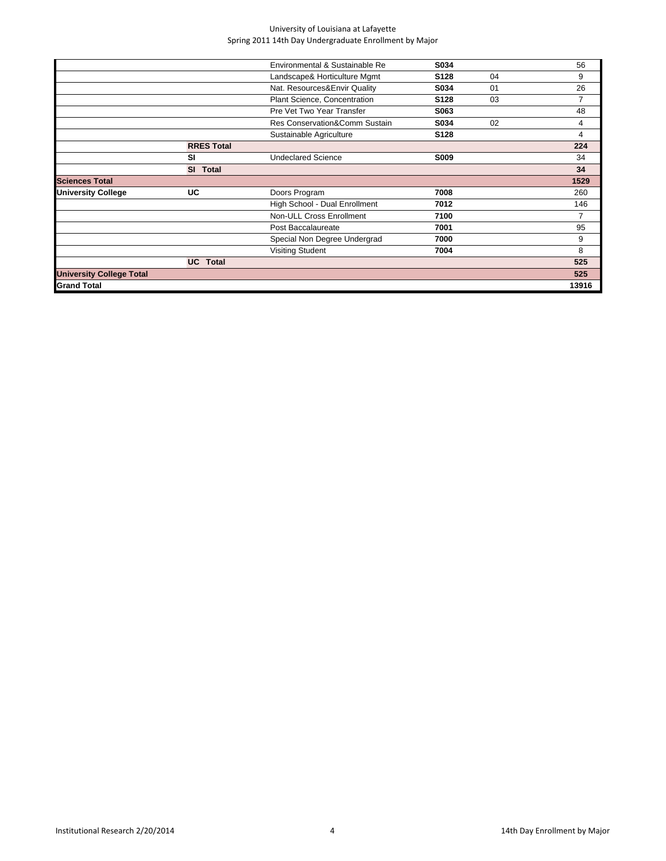|                                 |                           | Environmental & Sustainable Re | S034             |    | 56    |
|---------------------------------|---------------------------|--------------------------------|------------------|----|-------|
|                                 |                           | Landscape& Horticulture Mgmt   | S128             | 04 | 9     |
|                                 |                           | Nat. Resources&Envir Quality   | S034             | 01 | 26    |
|                                 |                           | Plant Science, Concentration   | S <sub>128</sub> | 03 | 7     |
|                                 |                           | Pre Vet Two Year Transfer      | S063             |    | 48    |
|                                 |                           | Res Conservation&Comm Sustain  | S034             | 02 | 4     |
|                                 |                           | Sustainable Agriculture        | S128             |    | 4     |
|                                 | <b>RRES Total</b>         |                                |                  |    | 224   |
|                                 | SI                        | <b>Undeclared Science</b>      | <b>S009</b>      |    | 34    |
|                                 | <b>SI</b><br><b>Total</b> |                                |                  |    | 34    |
| <b>Sciences Total</b>           |                           |                                |                  |    | 1529  |
| <b>University College</b>       | UC                        | Doors Program                  | 7008             |    | 260   |
|                                 |                           | High School - Dual Enrollment  | 7012             |    | 146   |
|                                 |                           | Non-ULL Cross Enrollment       | 7100             |    | 7     |
|                                 |                           | Post Baccalaureate             | 7001             |    | 95    |
|                                 |                           | Special Non Degree Undergrad   | 7000             |    | 9     |
|                                 |                           | <b>Visiting Student</b>        | 7004             |    | 8     |
|                                 | <b>UC</b> Total           |                                |                  |    | 525   |
| <b>University College Total</b> |                           |                                |                  |    | 525   |
| <b>Grand Total</b>              |                           |                                |                  |    | 13916 |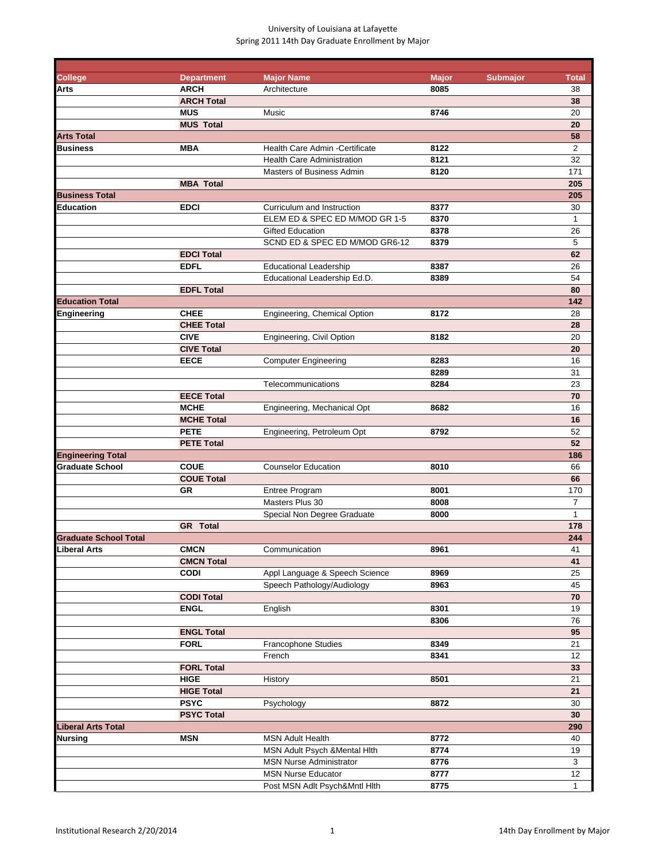| <b>College</b>               |                                  |                                   |                      |                 |                    |
|------------------------------|----------------------------------|-----------------------------------|----------------------|-----------------|--------------------|
| Arts                         | <b>Department</b><br><b>ARCH</b> | <b>Major Name</b><br>Architecture | <b>Major</b><br>8085 | <b>Submajor</b> | <b>Total</b><br>38 |
|                              | <b>ARCH Total</b>                |                                   |                      |                 | 38                 |
|                              | <b>MUS</b>                       | Music                             | 8746                 |                 | 20                 |
|                              | <b>MUS Total</b>                 |                                   |                      |                 | 20                 |
| <b>Arts Total</b>            |                                  |                                   |                      |                 | 58                 |
| <b>Business</b>              | <b>MBA</b>                       | Health Care Admin - Certificate   | 8122                 |                 | $\overline{2}$     |
|                              |                                  | <b>Health Care Administration</b> | 8121                 |                 | 32                 |
|                              |                                  | <b>Masters of Business Admin</b>  | 8120                 |                 | 171                |
|                              | <b>MBA Total</b>                 |                                   |                      |                 | 205                |
| <b>Business Total</b>        |                                  |                                   |                      |                 | 205                |
| Education                    | <b>EDCI</b>                      | Curriculum and Instruction        | 8377                 |                 | 30                 |
|                              |                                  | ELEM ED & SPEC ED M/MOD GR 1-5    | 8370                 |                 | $\mathbf{1}$       |
|                              |                                  | <b>Gifted Education</b>           | 8378                 |                 | 26                 |
|                              |                                  | SCND ED & SPEC ED M/MOD GR6-12    | 8379                 |                 | 5                  |
|                              | <b>EDCI Total</b>                |                                   |                      |                 | 62                 |
|                              | <b>EDFL</b>                      | <b>Educational Leadership</b>     | 8387                 |                 | 26                 |
|                              |                                  | Educational Leadership Ed.D.      | 8389                 |                 | 54                 |
|                              | <b>EDFL Total</b>                |                                   |                      |                 | 80                 |
| <b>Education Total</b>       |                                  |                                   |                      |                 | 142                |
| Engineering                  | <b>CHEE</b>                      | Engineering, Chemical Option      | 8172                 |                 | 28                 |
|                              | <b>CHEE Total</b>                |                                   |                      |                 | 28                 |
|                              | <b>CIVE</b>                      | Engineering, Civil Option         | 8182                 |                 | 20                 |
|                              | <b>CIVE Total</b>                |                                   |                      |                 | 20                 |
|                              | <b>EECE</b>                      | <b>Computer Engineering</b>       | 8283                 |                 | 16                 |
|                              |                                  |                                   | 8289                 |                 | 31                 |
|                              |                                  | Telecommunications                | 8284                 |                 | 23                 |
|                              | <b>EECE Total</b>                |                                   |                      |                 | 70                 |
|                              | <b>MCHE</b>                      | Engineering, Mechanical Opt       | 8682                 |                 | 16                 |
|                              | <b>MCHE Total</b>                |                                   |                      |                 | 16                 |
|                              | <b>PETE</b>                      | Engineering, Petroleum Opt        | 8792                 |                 | 52                 |
|                              | <b>PETE Total</b>                |                                   |                      |                 | 52                 |
| <b>Engineering Total</b>     |                                  |                                   |                      |                 | 186                |
| <b>Graduate School</b>       | <b>COUE</b>                      | <b>Counselor Education</b>        | 8010                 |                 | 66                 |
|                              | <b>COUE Total</b>                |                                   |                      |                 | 66                 |
|                              | GR                               | <b>Entree Program</b>             | 8001                 |                 | 170                |
|                              |                                  | Masters Plus 30                   | 8008                 |                 | 7                  |
|                              |                                  | Special Non Degree Graduate       | 8000                 |                 | $\mathbf{1}$       |
|                              | <b>GR</b> Total                  |                                   |                      |                 | 178                |
| <b>Graduate School Total</b> |                                  |                                   |                      |                 | 244                |
| Liberal Arts                 | <b>CMCN</b>                      | Communication                     | 8961                 |                 | 41                 |
|                              | <b>CMCN Total</b>                |                                   |                      |                 | 41                 |
|                              | <b>CODI</b>                      | Appl Language & Speech Science    | 8969                 |                 | 25                 |
|                              |                                  | Speech Pathology/Audiology        | 8963                 |                 | 45<br>70           |
|                              | <b>CODI Total</b><br><b>ENGL</b> |                                   | 8301                 |                 | 19                 |
|                              |                                  | English                           | 8306                 |                 | 76                 |
|                              | <b>ENGL Total</b>                |                                   |                      |                 | 95                 |
|                              | <b>FORL</b>                      | Francophone Studies               | 8349                 |                 | 21                 |
|                              |                                  | French                            | 8341                 |                 | 12                 |
|                              | <b>FORL Total</b>                |                                   |                      |                 | 33                 |
|                              | <b>HIGE</b>                      | History                           | 8501                 |                 | 21                 |
|                              | <b>HIGE Total</b>                |                                   |                      |                 | 21                 |
|                              | <b>PSYC</b>                      | Psychology                        | 8872                 |                 | 30                 |
|                              | <b>PSYC Total</b>                |                                   |                      |                 | 30                 |
| <b>Liberal Arts Total</b>    |                                  |                                   |                      |                 | 290                |
| Nursing                      | <b>MSN</b>                       | <b>MSN Adult Health</b>           | 8772                 |                 | 40                 |
|                              |                                  | MSN Adult Psych & Mental Hith     | 8774                 |                 | 19                 |
|                              |                                  | <b>MSN Nurse Administrator</b>    | 8776                 |                 | 3                  |
|                              |                                  | <b>MSN Nurse Educator</b>         | 8777                 |                 | 12                 |
|                              |                                  | Post MSN Adlt Psych&Mntl Hlth     | 8775                 |                 | $\mathbf{1}$       |